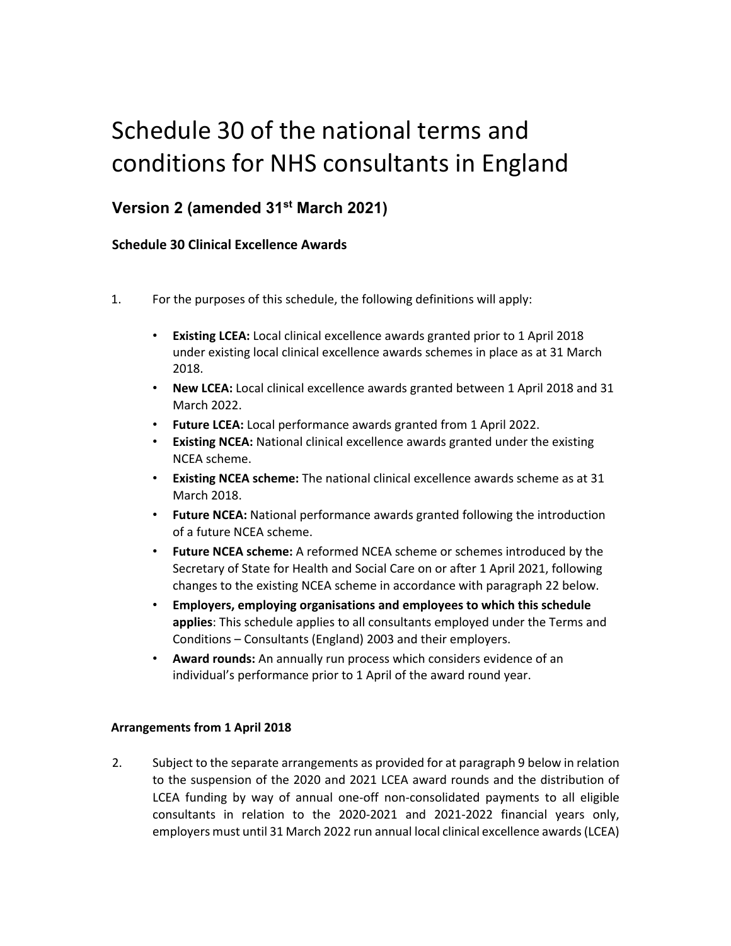# Schedule 30 of the national terms and conditions for NHS consultants in England

## **Version 2 (amended 31st March 2021)**

### **Schedule 30 Clinical Excellence Awards**

- 1. For the purposes of this schedule, the following definitions will apply:
	- **Existing LCEA:** Local clinical excellence awards granted prior to 1 April 2018 under existing local clinical excellence awards schemes in place as at 31 March 2018.
	- **New LCEA:** Local clinical excellence awards granted between 1 April 2018 and 31 March 2022.
	- **Future LCEA:** Local performance awards granted from 1 April 2022.
	- **Existing NCEA:** National clinical excellence awards granted under the existing NCEA scheme.
	- **Existing NCEA scheme:** The national clinical excellence awards scheme as at 31 March 2018.
	- **Future NCEA:** National performance awards granted following the introduction of a future NCEA scheme.
	- **Future NCEA scheme:** A reformed NCEA scheme or schemes introduced by the Secretary of State for Health and Social Care on or after 1 April 2021, following changes to the existing NCEA scheme in accordance with paragraph 22 below.
	- **Employers, employing organisations and employees to which this schedule applies**: This schedule applies to all consultants employed under the Terms and Conditions – Consultants (England) 2003 and their employers.
	- **Award rounds:** An annually run process which considers evidence of an individual's performance prior to 1 April of the award round year.

#### **Arrangements from 1 April 2018**

2. Subject to the separate arrangements as provided for at paragraph 9 below in relation to the suspension of the 2020 and 2021 LCEA award rounds and the distribution of LCEA funding by way of annual one-off non-consolidated payments to all eligible consultants in relation to the 2020‐2021 and 2021‐2022 financial years only, employers must until 31 March 2022 run annual local clinical excellence awards (LCEA)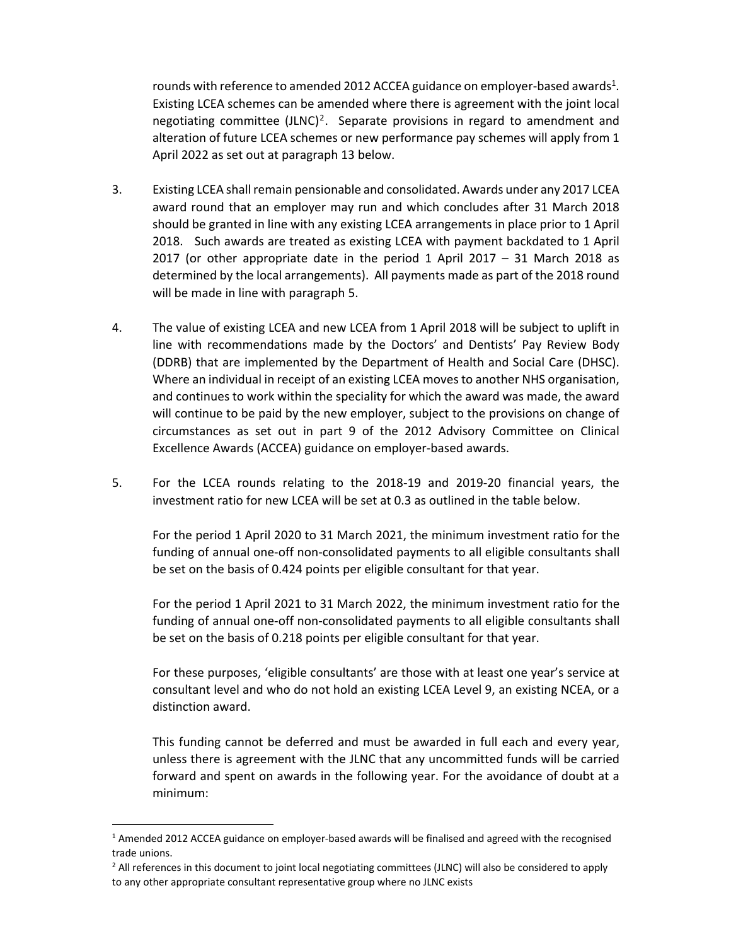rounds with reference to amended 2012 ACCEA guidance on employer-based awards<sup>1</sup>. Existing LCEA schemes can be amended where there is agreement with the joint local negotiating committee  $(JLNC)^2$ . Separate provisions in regard to amendment and alteration of future LCEA schemes or new performance pay schemes will apply from 1 April 2022 as set out at paragraph 13 below.

- 3. Existing LCEA shall remain pensionable and consolidated. Awards under any 2017 LCEA award round that an employer may run and which concludes after 31 March 2018 should be granted in line with any existing LCEA arrangements in place prior to 1 April 2018. Such awards are treated as existing LCEA with payment backdated to 1 April 2017 (or other appropriate date in the period 1 April 2017  $-$  31 March 2018 as determined by the local arrangements). All payments made as part of the 2018 round will be made in line with paragraph 5.
- 4. The value of existing LCEA and new LCEA from 1 April 2018 will be subject to uplift in line with recommendations made by the Doctors' and Dentists' Pay Review Body (DDRB) that are implemented by the Department of Health and Social Care (DHSC). Where an individual in receipt of an existing LCEA moves to another NHS organisation, and continues to work within the speciality for which the award was made, the award will continue to be paid by the new employer, subject to the provisions on change of circumstances as set out in part 9 of the 2012 Advisory Committee on Clinical Excellence Awards (ACCEA) guidance on employer‐based awards.
- 5. For the LCEA rounds relating to the 2018‐19 and 2019‐20 financial years, the investment ratio for new LCEA will be set at 0.3 as outlined in the table below.

For the period 1 April 2020 to 31 March 2021, the minimum investment ratio for the funding of annual one‐off non‐consolidated payments to all eligible consultants shall be set on the basis of 0.424 points per eligible consultant for that year.

For the period 1 April 2021 to 31 March 2022, the minimum investment ratio for the funding of annual one‐off non‐consolidated payments to all eligible consultants shall be set on the basis of 0.218 points per eligible consultant for that year.

For these purposes, 'eligible consultants' are those with at least one year's service at consultant level and who do not hold an existing LCEA Level 9, an existing NCEA, or a distinction award.

This funding cannot be deferred and must be awarded in full each and every year, unless there is agreement with the JLNC that any uncommitted funds will be carried forward and spent on awards in the following year. For the avoidance of doubt at a minimum:

<sup>&</sup>lt;sup>1</sup> Amended 2012 ACCEA guidance on employer-based awards will be finalised and agreed with the recognised trade unions.

<sup>&</sup>lt;sup>2</sup> All references in this document to joint local negotiating committees (JLNC) will also be considered to apply to any other appropriate consultant representative group where no JLNC exists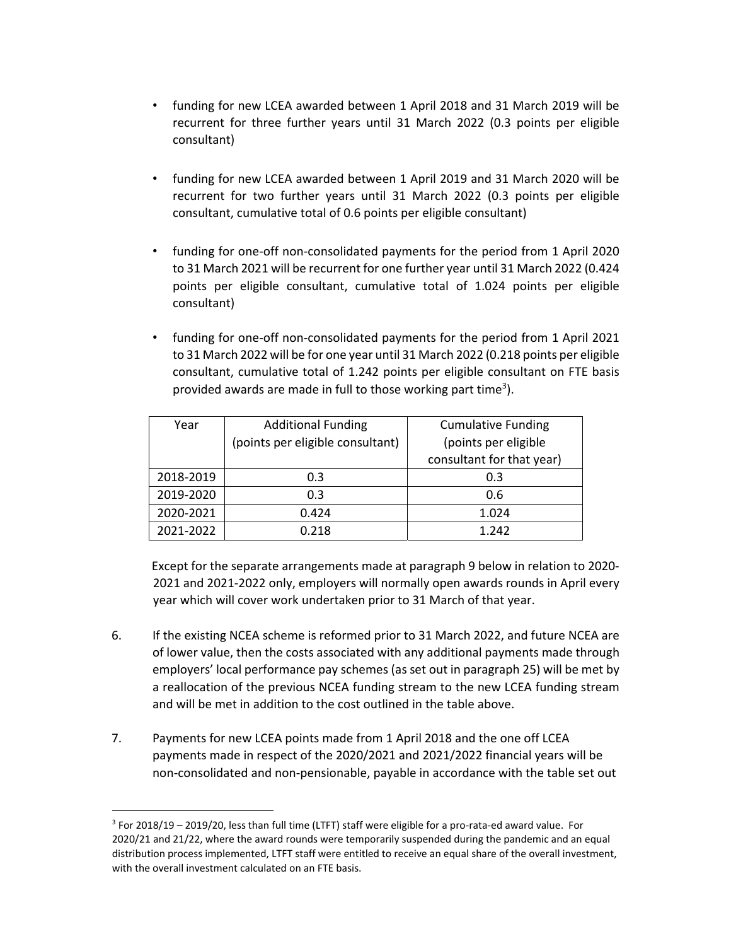- funding for new LCEA awarded between 1 April 2018 and 31 March 2019 will be recurrent for three further years until 31 March 2022 (0.3 points per eligible consultant)
- funding for new LCEA awarded between 1 April 2019 and 31 March 2020 will be recurrent for two further years until 31 March 2022 (0.3 points per eligible consultant, cumulative total of 0.6 points per eligible consultant)
- funding for one‐off non‐consolidated payments for the period from 1 April 2020 to 31 March 2021 will be recurrent for one further year until 31 March 2022 (0.424 points per eligible consultant, cumulative total of 1.024 points per eligible consultant)
- funding for one‐off non‐consolidated payments for the period from 1 April 2021 to 31 March 2022 will be for one year until 31 March 2022 (0.218 points per eligible consultant, cumulative total of 1.242 points per eligible consultant on FTE basis provided awards are made in full to those working part time<sup>3</sup>).

| Year      | <b>Additional Funding</b>        | <b>Cumulative Funding</b> |
|-----------|----------------------------------|---------------------------|
|           | (points per eligible consultant) | (points per eligible      |
|           |                                  | consultant for that year) |
| 2018-2019 | 0.3                              | 0.3                       |
| 2019-2020 | 0.3                              | 0.6                       |
| 2020-2021 | 0.424                            | 1.024                     |
| 2021-2022 | 0.218                            | 1.242                     |

 Except for the separate arrangements made at paragraph 9 below in relation to 2020‐ 2021 and 2021‐2022 only, employers will normally open awards rounds in April every year which will cover work undertaken prior to 31 March of that year.

- 6. If the existing NCEA scheme is reformed prior to 31 March 2022, and future NCEA are of lower value, then the costs associated with any additional payments made through employers' local performance pay schemes (as set out in paragraph 25) will be met by a reallocation of the previous NCEA funding stream to the new LCEA funding stream and will be met in addition to the cost outlined in the table above.
- 7. Payments for new LCEA points made from 1 April 2018 and the one off LCEA payments made in respect of the 2020/2021 and 2021/2022 financial years will be non‐consolidated and non‐pensionable, payable in accordance with the table set out

<sup>3</sup> For 2018/19 – 2019/20, less than full time (LTFT) staff were eligible for a pro‐rata‐ed award value. For 2020/21 and 21/22, where the award rounds were temporarily suspended during the pandemic and an equal distribution process implemented, LTFT staff were entitled to receive an equal share of the overall investment, with the overall investment calculated on an FTE basis.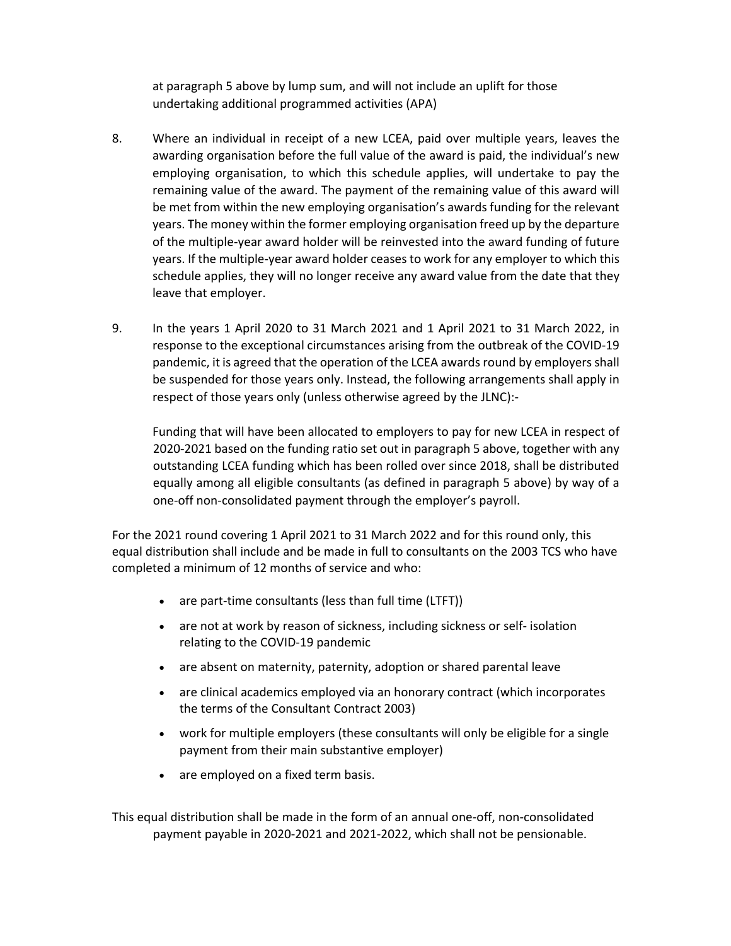at paragraph 5 above by lump sum, and will not include an uplift for those undertaking additional programmed activities (APA)

- 8. Where an individual in receipt of a new LCEA, paid over multiple years, leaves the awarding organisation before the full value of the award is paid, the individual's new employing organisation, to which this schedule applies, will undertake to pay the remaining value of the award. The payment of the remaining value of this award will be met from within the new employing organisation's awards funding for the relevant years. The money within the former employing organisation freed up by the departure of the multiple‐year award holder will be reinvested into the award funding of future years. If the multiple‐year award holder ceases to work for any employer to which this schedule applies, they will no longer receive any award value from the date that they leave that employer.
- 9. In the years 1 April 2020 to 31 March 2021 and 1 April 2021 to 31 March 2022, in response to the exceptional circumstances arising from the outbreak of the COVID‐19 pandemic, it is agreed that the operation of the LCEA awards round by employers shall be suspended for those years only. Instead, the following arrangements shall apply in respect of those years only (unless otherwise agreed by the JLNC):‐

Funding that will have been allocated to employers to pay for new LCEA in respect of 2020‐2021 based on the funding ratio set out in paragraph 5 above, together with any outstanding LCEA funding which has been rolled over since 2018, shall be distributed equally among all eligible consultants (as defined in paragraph 5 above) by way of a one‐off non‐consolidated payment through the employer's payroll.

For the 2021 round covering 1 April 2021 to 31 March 2022 and for this round only, this equal distribution shall include and be made in full to consultants on the 2003 TCS who have completed a minimum of 12 months of service and who:

- are part-time consultants (less than full time (LTFT))
- are not at work by reason of sickness, including sickness or self-isolation relating to the COVID‐19 pandemic
- are absent on maternity, paternity, adoption or shared parental leave
- are clinical academics employed via an honorary contract (which incorporates the terms of the Consultant Contract 2003)
- work for multiple employers (these consultants will only be eligible for a single payment from their main substantive employer)
- are employed on a fixed term basis.

This equal distribution shall be made in the form of an annual one‐off, non‐consolidated payment payable in 2020‐2021 and 2021‐2022, which shall not be pensionable.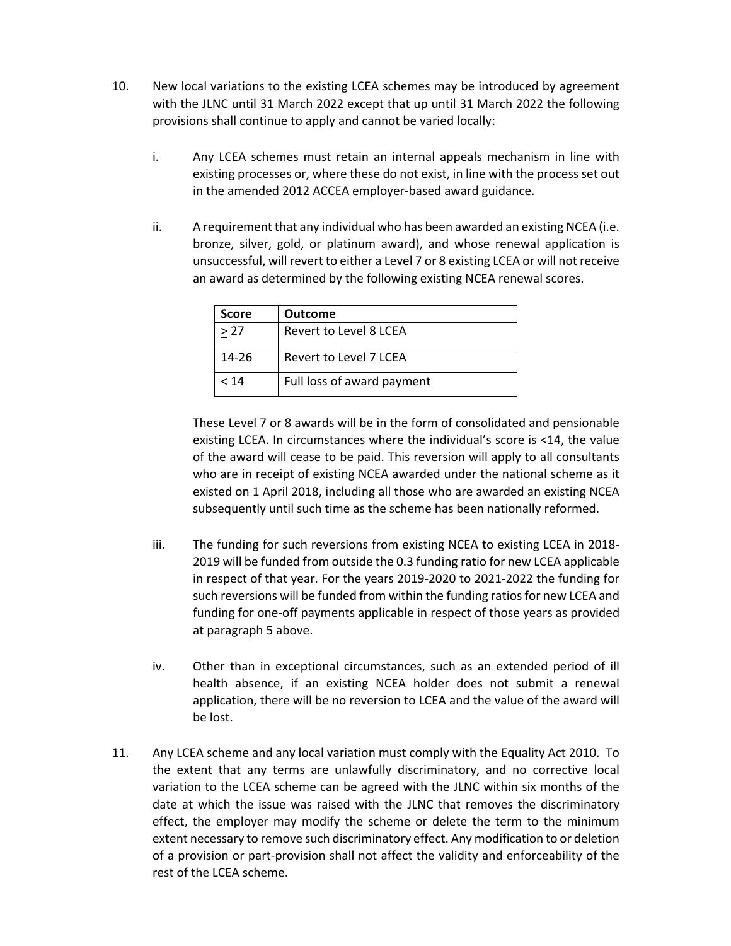- 10. New local variations to the existing LCEA schemes may be introduced by agreement with the JLNC until 31 March 2022 except that up until 31 March 2022 the following provisions shall continue to apply and cannot be varied locally:
	- i. Any LCEA schemes must retain an internal appeals mechanism in line with existing processes or, where these do not exist, in line with the process set out in the amended 2012 ACCEA employer‐based award guidance.
	- ii. A requirement that any individual who has been awarded an existing NCEA (i.e. bronze, silver, gold, or platinum award), and whose renewal application is unsuccessful, will revert to either a Level 7 or 8 existing LCEA or will not receive an award as determined by the following existing NCEA renewal scores.

| Score     | <b>Outcome</b>             |  |
|-----------|----------------------------|--|
| >27       | Revert to Level 8 LCEA     |  |
| $14 - 26$ | Revert to Level 7 LCEA     |  |
| < 14      | Full loss of award payment |  |

These Level 7 or 8 awards will be in the form of consolidated and pensionable existing LCEA. In circumstances where the individual's score is <14, the value of the award will cease to be paid. This reversion will apply to all consultants who are in receipt of existing NCEA awarded under the national scheme as it existed on 1 April 2018, including all those who are awarded an existing NCEA subsequently until such time as the scheme has been nationally reformed.

- iii. The funding for such reversions from existing NCEA to existing LCEA in 2018‐ 2019 will be funded from outside the 0.3 funding ratio for new LCEA applicable in respect of that year. For the years 2019‐2020 to 2021‐2022 the funding for such reversions will be funded from within the funding ratios for new LCEA and funding for one‐off payments applicable in respect of those years as provided at paragraph 5 above.
- iv. Other than in exceptional circumstances, such as an extended period of ill health absence, if an existing NCEA holder does not submit a renewal application, there will be no reversion to LCEA and the value of the award will be lost.
- 11. Any LCEA scheme and any local variation must comply with the Equality Act 2010. To the extent that any terms are unlawfully discriminatory, and no corrective local variation to the LCEA scheme can be agreed with the JLNC within six months of the date at which the issue was raised with the JLNC that removes the discriminatory effect, the employer may modify the scheme or delete the term to the minimum extent necessary to remove such discriminatory effect. Any modification to or deletion of a provision or part‐provision shall not affect the validity and enforceability of the rest of the LCEA scheme.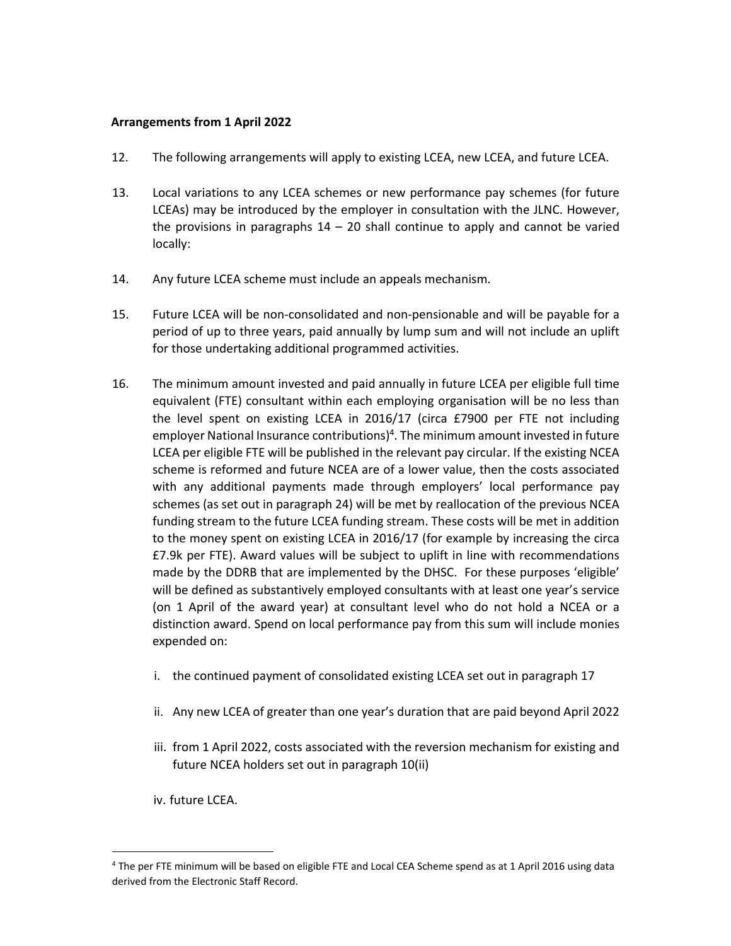#### **Arrangements from 1 April 2022**

- 12. The following arrangements will apply to existing LCEA, new LCEA, and future LCEA.
- 13. Local variations to any LCEA schemes or new performance pay schemes (for future LCEAs) may be introduced by the employer in consultation with the JLNC. However, the provisions in paragraphs  $14 - 20$  shall continue to apply and cannot be varied locally:
- 14. Any future LCEA scheme must include an appeals mechanism.
- 15. Future LCEA will be non‐consolidated and non‐pensionable and will be payable for a period of up to three years, paid annually by lump sum and will not include an uplift for those undertaking additional programmed activities.
- 16. The minimum amount invested and paid annually in future LCEA per eligible full time equivalent (FTE) consultant within each employing organisation will be no less than the level spent on existing LCEA in 2016/17 (circa £7900 per FTE not including employer National Insurance contributions)4. The minimum amount invested in future LCEA per eligible FTE will be published in the relevant pay circular. If the existing NCEA scheme is reformed and future NCEA are of a lower value, then the costs associated with any additional payments made through employers' local performance pay schemes (as set out in paragraph 24) will be met by reallocation of the previous NCEA funding stream to the future LCEA funding stream. These costs will be met in addition to the money spent on existing LCEA in 2016/17 (for example by increasing the circa £7.9k per FTE). Award values will be subject to uplift in line with recommendations made by the DDRB that are implemented by the DHSC. For these purposes 'eligible' will be defined as substantively employed consultants with at least one year's service (on 1 April of the award year) at consultant level who do not hold a NCEA or a distinction award. Spend on local performance pay from this sum will include monies expended on:
	- i. the continued payment of consolidated existing LCEA set out in paragraph 17
	- ii. Any new LCEA of greater than one year's duration that are paid beyond April 2022
	- iii. from 1 April 2022, costs associated with the reversion mechanism for existing and future NCEA holders set out in paragraph 10(ii)
	- iv. future LCEA.

<sup>4</sup> The per FTE minimum will be based on eligible FTE and Local CEA Scheme spend as at 1 April 2016 using data derived from the Electronic Staff Record.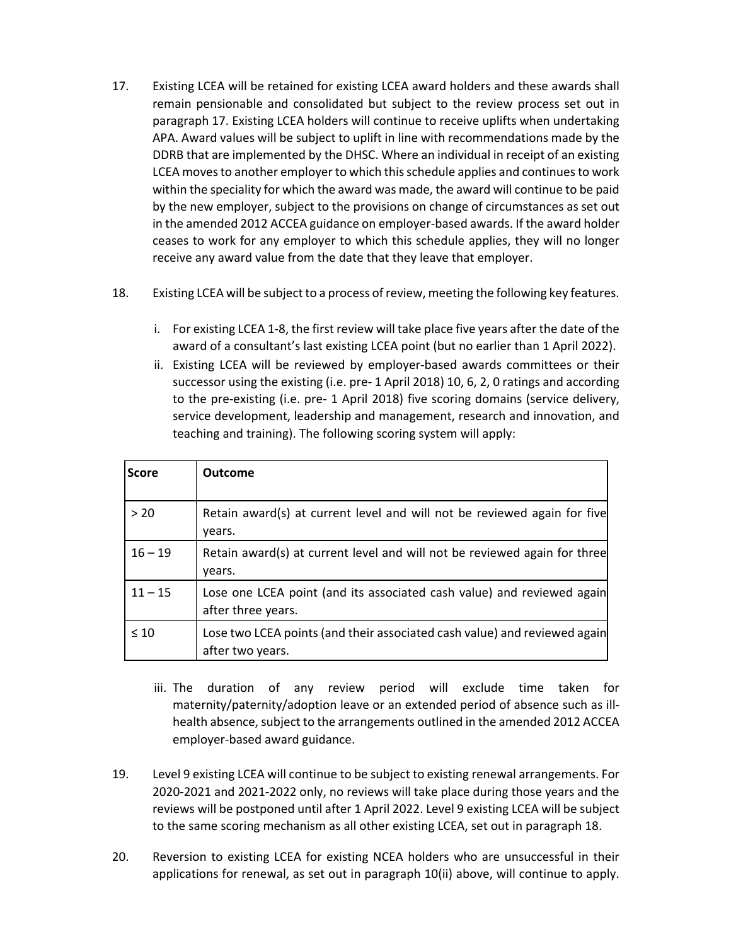- 17. Existing LCEA will be retained for existing LCEA award holders and these awards shall remain pensionable and consolidated but subject to the review process set out in paragraph 17. Existing LCEA holders will continue to receive uplifts when undertaking APA. Award values will be subject to uplift in line with recommendations made by the DDRB that are implemented by the DHSC. Where an individual in receipt of an existing LCEA moves to another employer to which this schedule applies and continues to work within the speciality for which the award was made, the award will continue to be paid by the new employer, subject to the provisions on change of circumstances as set out in the amended 2012 ACCEA guidance on employer‐based awards. If the award holder ceases to work for any employer to which this schedule applies, they will no longer receive any award value from the date that they leave that employer.
- 18. Existing LCEA will be subject to a process of review, meeting the following key features.
	- i. For existing LCEA 1‐8, the first review will take place five years after the date of the award of a consultant's last existing LCEA point (but no earlier than 1 April 2022).
	- ii. Existing LCEA will be reviewed by employer-based awards committees or their successor using the existing (i.e. pre‐ 1 April 2018) 10, 6, 2, 0 ratings and according to the pre‐existing (i.e. pre‐ 1 April 2018) five scoring domains (service delivery, service development, leadership and management, research and innovation, and teaching and training). The following scoring system will apply:

| <b>Score</b> | <b>Outcome</b>                                                                                |
|--------------|-----------------------------------------------------------------------------------------------|
| > 20         | Retain award(s) at current level and will not be reviewed again for five<br>years.            |
| $16 - 19$    | Retain award(s) at current level and will not be reviewed again for three<br>years.           |
| $11 - 15$    | Lose one LCEA point (and its associated cash value) and reviewed again<br>after three years.  |
| $\leq 10$    | Lose two LCEA points (and their associated cash value) and reviewed again<br>after two years. |

- iii. The duration of any review period will exclude time taken for maternity/paternity/adoption leave or an extended period of absence such as ill‐ health absence, subject to the arrangements outlined in the amended 2012 ACCEA employer‐based award guidance.
- 19. Level 9 existing LCEA will continue to be subject to existing renewal arrangements. For 2020‐2021 and 2021‐2022 only, no reviews will take place during those years and the reviews will be postponed until after 1 April 2022. Level 9 existing LCEA will be subject to the same scoring mechanism as all other existing LCEA, set out in paragraph 18.
- 20. Reversion to existing LCEA for existing NCEA holders who are unsuccessful in their applications for renewal, as set out in paragraph 10(ii) above, will continue to apply.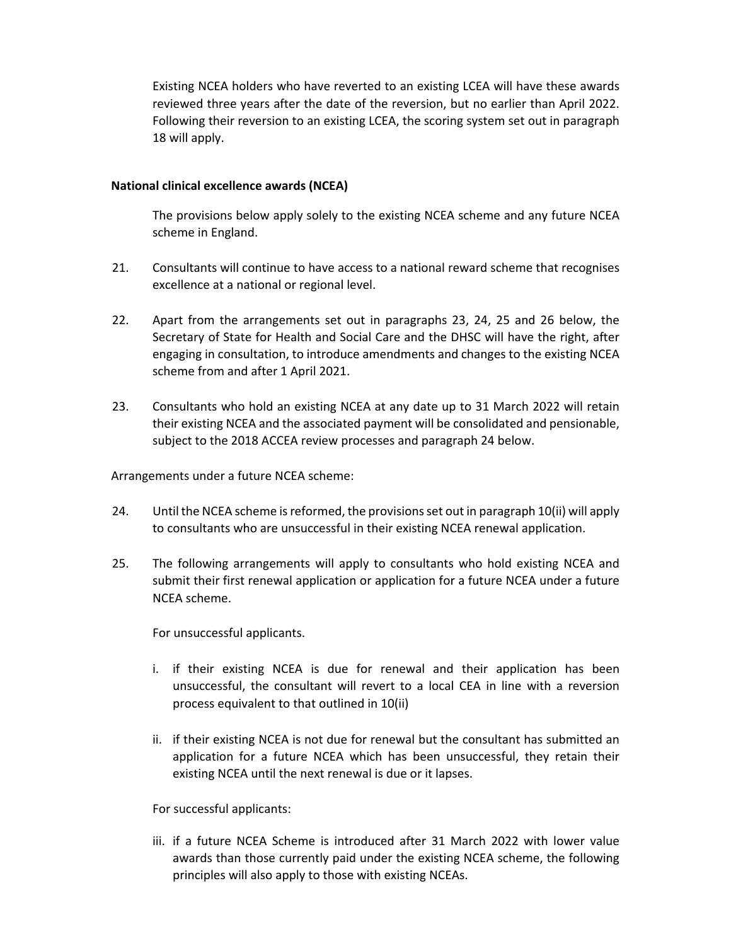Existing NCEA holders who have reverted to an existing LCEA will have these awards reviewed three years after the date of the reversion, but no earlier than April 2022. Following their reversion to an existing LCEA, the scoring system set out in paragraph 18 will apply.

#### **National clinical excellence awards (NCEA)**

The provisions below apply solely to the existing NCEA scheme and any future NCEA scheme in England.

- 21. Consultants will continue to have access to a national reward scheme that recognises excellence at a national or regional level.
- 22. Apart from the arrangements set out in paragraphs 23, 24, 25 and 26 below, the Secretary of State for Health and Social Care and the DHSC will have the right, after engaging in consultation, to introduce amendments and changes to the existing NCEA scheme from and after 1 April 2021.
- 23. Consultants who hold an existing NCEA at any date up to 31 March 2022 will retain their existing NCEA and the associated payment will be consolidated and pensionable, subject to the 2018 ACCEA review processes and paragraph 24 below.

Arrangements under a future NCEA scheme:

- 24. Until the NCEA scheme is reformed, the provisions set out in paragraph 10(ii) will apply to consultants who are unsuccessful in their existing NCEA renewal application.
- 25. The following arrangements will apply to consultants who hold existing NCEA and submit their first renewal application or application for a future NCEA under a future NCEA scheme.

For unsuccessful applicants.

- i. if their existing NCEA is due for renewal and their application has been unsuccessful, the consultant will revert to a local CEA in line with a reversion process equivalent to that outlined in 10(ii)
- ii. if their existing NCEA is not due for renewal but the consultant has submitted an application for a future NCEA which has been unsuccessful, they retain their existing NCEA until the next renewal is due or it lapses.

For successful applicants:

iii. if a future NCEA Scheme is introduced after 31 March 2022 with lower value awards than those currently paid under the existing NCEA scheme, the following principles will also apply to those with existing NCEAs.